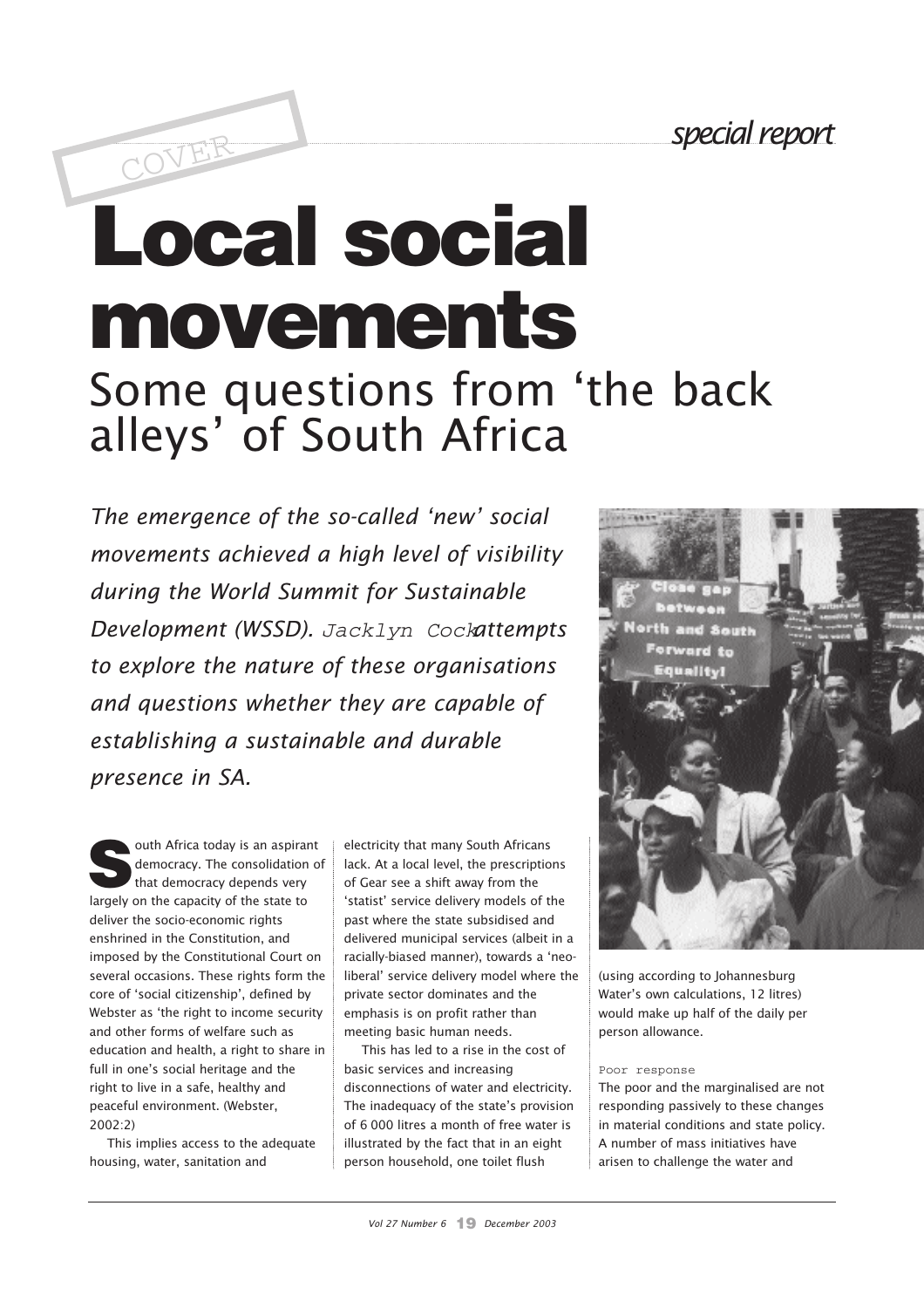# Local social movements Some questions from 'the back alleys' of South Africa

*The emergence of the so-called 'new' social movements achieved a high level of visibility during the World Summit for Sustainable Development (WSSD).* Jacklyn Cock*attempts to explore the nature of these organisations and questions whether they are capable of establishing a sustainable and durable presence in SA.*

S outh Africa today is an aspirant democracy. The consolidation of that democracy depends very largely on the capacity of the state to deliver the socio-economic rights enshrined in the Constitution, and imposed by the Constitutional Court on several occasions. These rights form the core of 'social citizenship', defined by Webster as 'the right to income security and other forms of welfare such as education and health, a right to share in full in one's social heritage and the right to live in a safe, healthy and peaceful environment. (Webster, 2002:2)

This implies access to the adequate housing, water, sanitation and

electricity that many South Africans lack. At a local level, the prescriptions of Gear see a shift away from the 'statist' service delivery models of the past where the state subsidised and delivered municipal services (albeit in a racially-biased manner), towards a 'neoliberal' service delivery model where the private sector dominates and the emphasis is on profit rather than meeting basic human needs.

This has led to a rise in the cost of basic services and increasing disconnections of water and electricity. The inadequacy of the state's provision of 6 000 litres a month of free water is illustrated by the fact that in an eight person household, one toilet flush



(using according to Johannesburg Water's own calculations, 12 litres) would make up half of the daily per person allowance.

## Poor response

The poor and the marginalised are not responding passively to these changes in material conditions and state policy. A number of mass initiatives have arisen to challenge the water and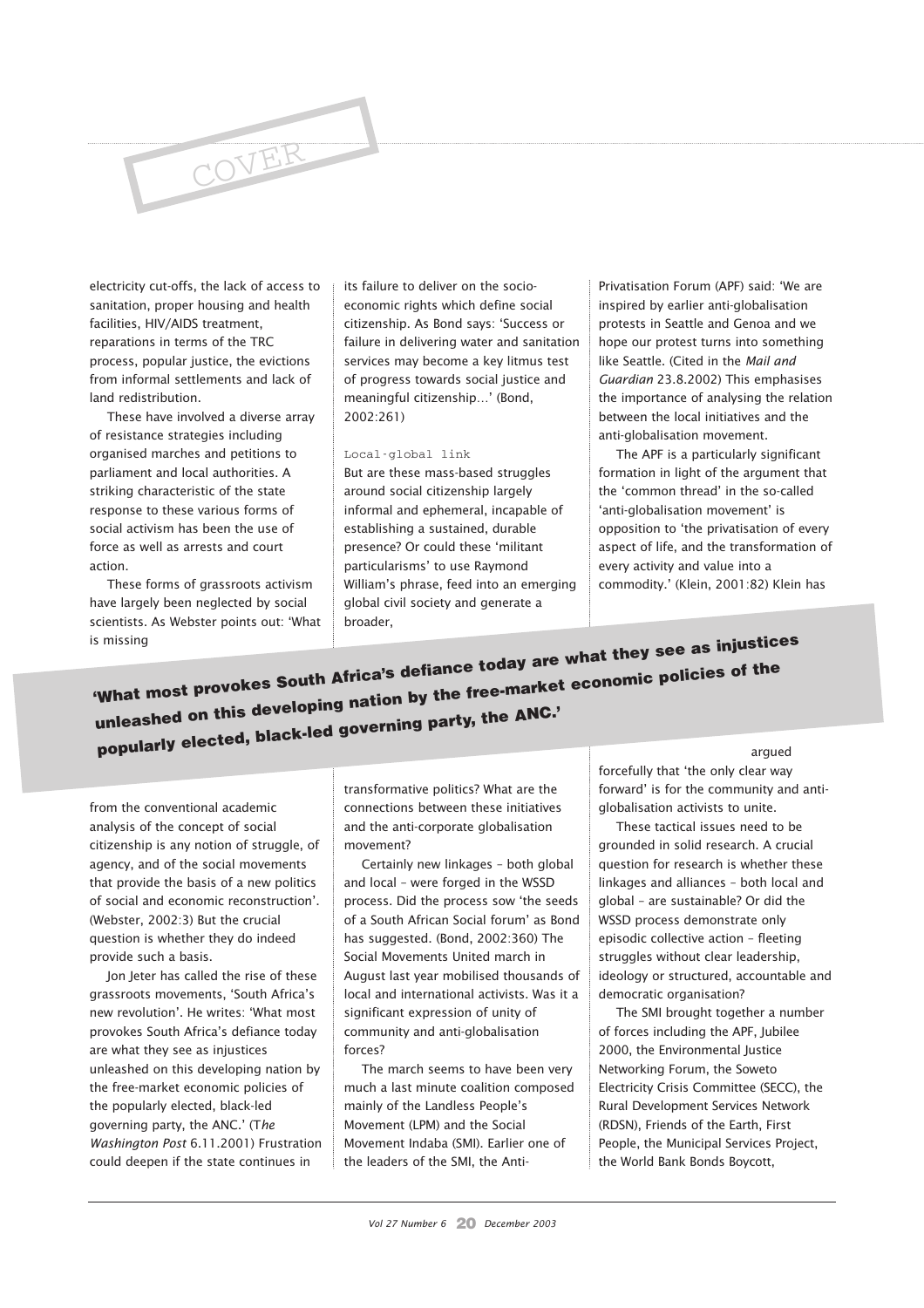

electricity cut-offs, the lack of access to sanitation, proper housing and health facilities, HIV/AIDS treatment, reparations in terms of the TRC process, popular justice, the evictions from informal settlements and lack of land redistribution.

These have involved a diverse array of resistance strategies including organised marches and petitions to parliament and local authorities. A striking characteristic of the state response to these various forms of social activism has been the use of force as well as arrests and court action.

These forms of grassroots activism have largely been neglected by social scientists. As Webster points out: 'What

its failure to deliver on the socioeconomic rights which define social citizenship. As Bond says: 'Success or failure in delivering water and sanitation services may become a key litmus test of progress towards social justice and meaningful citizenship…' (Bond, 2002:261)

#### Local-global link

But are these mass-based struggles around social citizenship largely informal and ephemeral, incapable of establishing a sustained, durable presence? Or could these 'militant particularisms' to use Raymond William's phrase, feed into an emerging global civil society and generate a broader,

Privatisation Forum (APF) said: 'We are inspired by earlier anti-globalisation protests in Seattle and Genoa and we hope our protest turns into something like Seattle. (Cited in the *Mail and Guardian* 23.8.2002) This emphasises the importance of analysing the relation between the local initiatives and the anti-globalisation movement.

The APF is a particularly significant formation in light of the argument that the 'common thread' in the so-called 'anti-globalisation movement' is opposition to 'the privatisation of every aspect of life, and the transformation of every activity and value into a commodity.' (Klein, 2001:82) Klein has

is missing<br>
"What most provokes South Africa's defiance today are what they see as injustices<br>
what most provokes South Africa's defiance today are what they see as injustices unleashed on this developing nation by the free-market economic policies of the popularly elected, black-led governing party, the ANC.'

from the conventional academic analysis of the concept of social citizenship is any notion of struggle, of agency, and of the social movements that provide the basis of a new politics of social and economic reconstruction'. (Webster, 2002:3) But the crucial question is whether they do indeed provide such a basis.

Jon Jeter has called the rise of these grassroots movements, 'South Africa's new revolution'. He writes: 'What most provokes South Africa's defiance today are what they see as injustices unleashed on this developing nation by the free-market economic policies of the popularly elected, black-led governing party, the ANC.' (T*he Washington Post* 6.11.2001) Frustration could deepen if the state continues in

transformative politics? What are the connections between these initiatives and the anti-corporate globalisation movement?

Certainly new linkages – both global and local – were forged in the WSSD process. Did the process sow 'the seeds of a South African Social forum' as Bond has suggested. (Bond, 2002:360) The Social Movements United march in August last year mobilised thousands of local and international activists. Was it a significant expression of unity of community and anti-globalisation forces?

The march seems to have been very much a last minute coalition composed mainly of the Landless People's Movement (LPM) and the Social Movement Indaba (SMI). Earlier one of the leaders of the SMI, the Antiargued

forcefully that 'the only clear way forward' is for the community and antiglobalisation activists to unite.

These tactical issues need to be grounded in solid research. A crucial question for research is whether these linkages and alliances – both local and global – are sustainable? Or did the WSSD process demonstrate only episodic collective action – fleeting struggles without clear leadership, ideology or structured, accountable and democratic organisation?

The SMI brought together a number of forces including the APF, Jubilee 2000, the Environmental Justice Networking Forum, the Soweto Electricity Crisis Committee (SECC), the Rural Development Services Network (RDSN), Friends of the Earth, First People, the Municipal Services Project, the World Bank Bonds Boycott,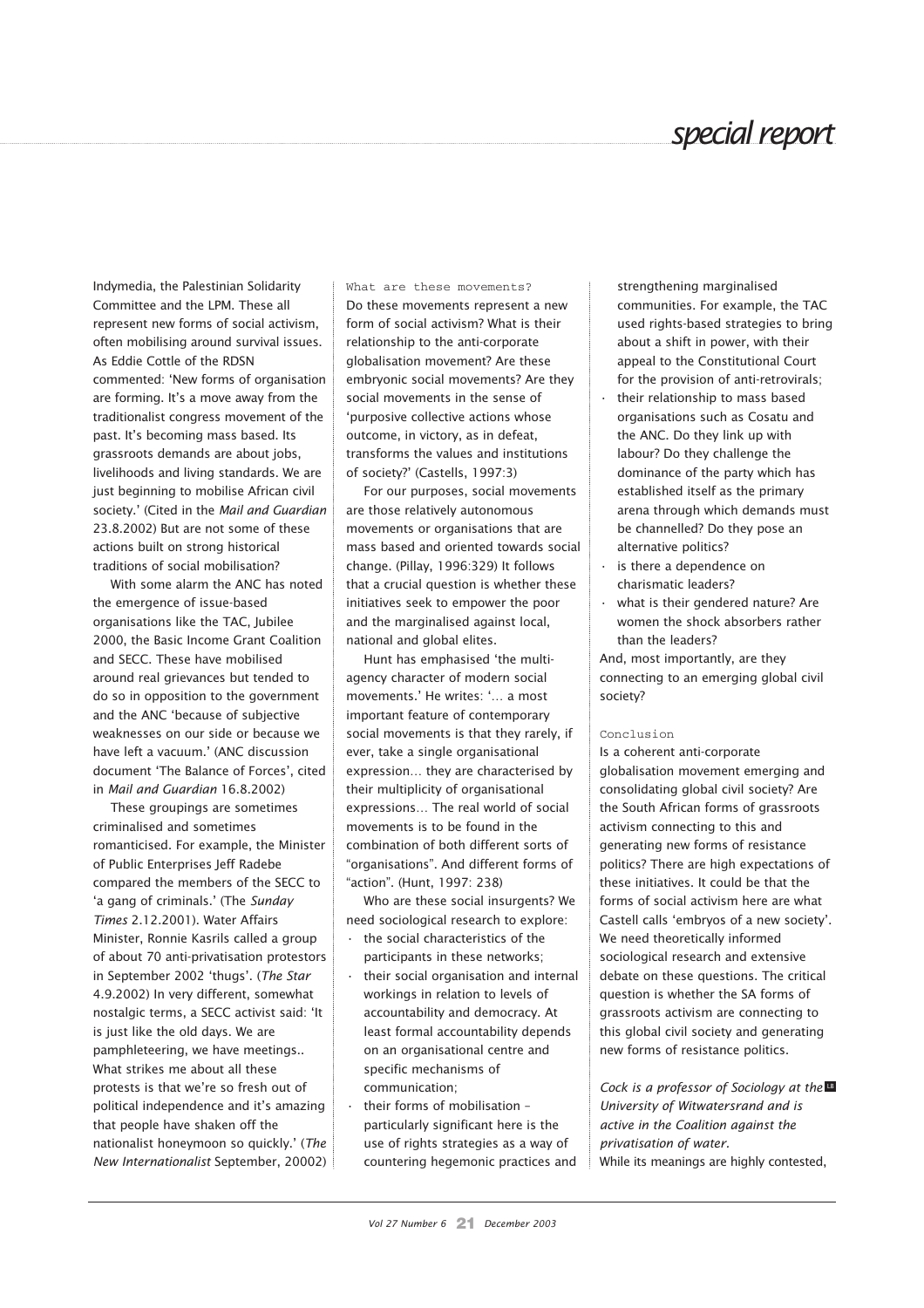Indymedia, the Palestinian Solidarity Committee and the LPM. These all represent new forms of social activism, often mobilising around survival issues. As Eddie Cottle of the RDSN commented: 'New forms of organisation are forming. It's a move away from the traditionalist congress movement of the past. It's becoming mass based. Its grassroots demands are about jobs, livelihoods and living standards. We are just beginning to mobilise African civil society.' (Cited in the *Mail and Guardian* 23.8.2002) But are not some of these actions built on strong historical traditions of social mobilisation?

With some alarm the ANC has noted the emergence of issue-based organisations like the TAC, Jubilee 2000, the Basic Income Grant Coalition and SECC. These have mobilised around real grievances but tended to do so in opposition to the government and the ANC 'because of subjective weaknesses on our side or because we have left a vacuum.' (ANC discussion document 'The Balance of Forces', cited in *Mail and Guardian* 16.8.2002)

These groupings are sometimes criminalised and sometimes romanticised. For example, the Minister of Public Enterprises Jeff Radebe compared the members of the SECC to 'a gang of criminals.' (The *Sunday Times* 2.12.2001). Water Affairs Minister, Ronnie Kasrils called a group of about 70 anti-privatisation protestors in September 2002 'thugs'. (*The Star* 4.9.2002) In very different, somewhat nostalgic terms, a SECC activist said: 'It is just like the old days. We are pamphleteering, we have meetings.. What strikes me about all these protests is that we're so fresh out of political independence and it's amazing that people have shaken off the nationalist honeymoon so quickly.' (*The New Internationalist* September, 20002) What are these movements? Do these movements represent a new form of social activism? What is their relationship to the anti-corporate globalisation movement? Are these embryonic social movements? Are they social movements in the sense of 'purposive collective actions whose outcome, in victory, as in defeat, transforms the values and institutions of society?' (Castells, 1997:3)

For our purposes, social movements are those relatively autonomous movements or organisations that are mass based and oriented towards social change. (Pillay, 1996:329) It follows that a crucial question is whether these initiatives seek to empower the poor and the marginalised against local, national and global elites.

Hunt has emphasised 'the multiagency character of modern social movements.' He writes: '… a most important feature of contemporary social movements is that they rarely, if ever, take a single organisational expression… they are characterised by their multiplicity of organisational expressions… The real world of social movements is to be found in the combination of both different sorts of "organisations". And different forms of "action". (Hunt, 1997: 238)

Who are these social insurgents? We need sociological research to explore:

- the social characteristics of the participants in these networks;
- their social organisation and internal workings in relation to levels of accountability and democracy. At least formal accountability depends on an organisational centre and specific mechanisms of communication;
- their forms of mobilisation particularly significant here is the use of rights strategies as a way of countering hegemonic practices and

strengthening marginalised communities. For example, the TAC used rights-based strategies to bring about a shift in power, with their appeal to the Constitutional Court for the provision of anti-retrovirals; their relationship to mass based organisations such as Cosatu and the ANC. Do they link up with labour? Do they challenge the dominance of the party which has established itself as the primary arena through which demands must be channelled? Do they pose an alternative politics?

- is there a dependence on charismatic leaders?
- what is their gendered nature? Are women the shock absorbers rather than the leaders?

And, most importantly, are they connecting to an emerging global civil society?

## Conclusion

Is a coherent anti-corporate globalisation movement emerging and consolidating global civil society? Are the South African forms of grassroots activism connecting to this and generating new forms of resistance politics? There are high expectations of these initiatives. It could be that the forms of social activism here are what Castell calls 'embryos of a new society'. We need theoretically informed sociological research and extensive debate on these questions. The critical question is whether the SA forms of grassroots activism are connecting to this global civil society and generating new forms of resistance politics.

*Cock is a professor of Sociology at the University of Witwatersrand and is active in the Coalition against the privatisation of water.* While its meanings are highly contested,